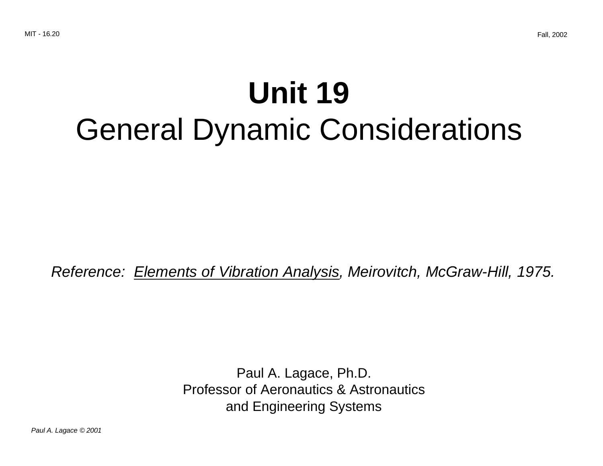## **Unit 19** General Dynamic Considerations

Reference: Elements of Vibration Analysis, Meirovitch, McGraw-Hill, 1975.

Paul A. Lagace, Ph.D. Professor of Aeronautics & Astronautics and Engineering Systems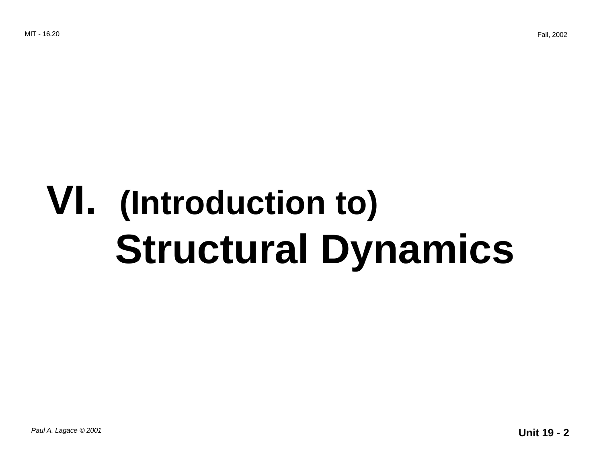# **VI. (Introduction to) Structural Dynamics**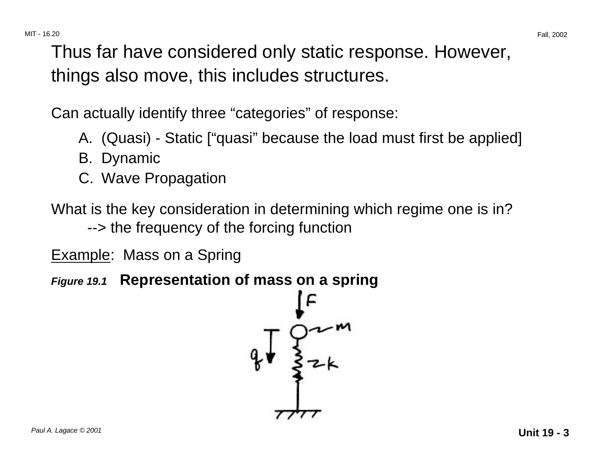Thus far have considered only static response. However, things also move, this includes structures.

Can actually identify three "categories" of response:

- A. (Quasi) Static ["quasi" because the load must first be applied]
- B. Dynamic
- C. Wave Propagation

What is the key consideration in determining which regime one is in? --> the frequency of the forcing function

**Example:** Mass on a Spring

**Figure 19.1 Representation of mass on a spring** 

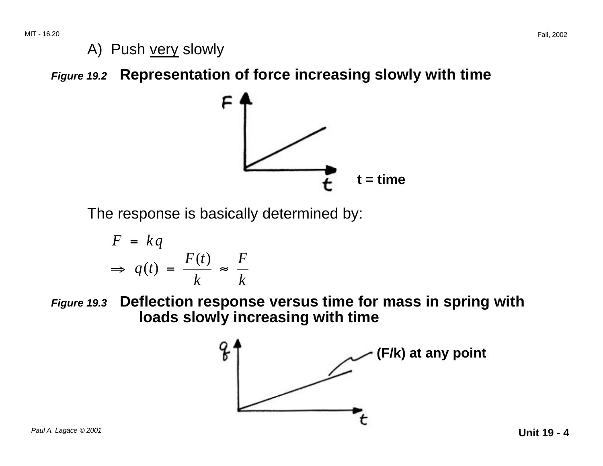A) Push very slowly

**Figure 19.2 Representation of force increasing slowly with time** 



The response is basically determined by:

$$
F = kq
$$
  
\n
$$
\Rightarrow q(t) = \frac{F(t)}{k} \approx \frac{F}{k}
$$

**Figure 19.3 Deflection response versus time for mass in spring with loads slowly increasing with time** 

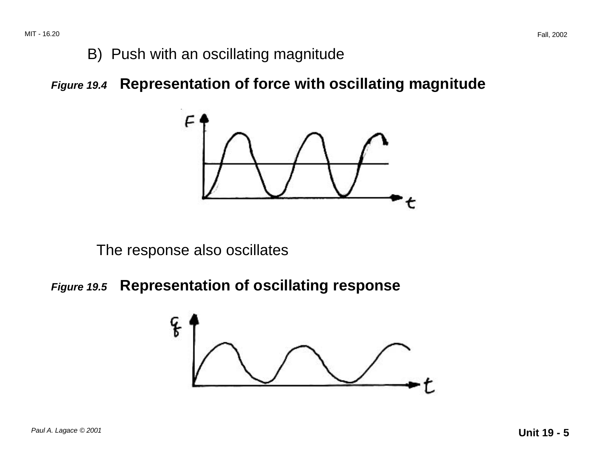#### B) Push with an oscillating magnitude

**Figure 19.4 Representation of force with oscillating magnitude** 



The response also oscillates

**Figure 19.5 Representation of oscillating response** 

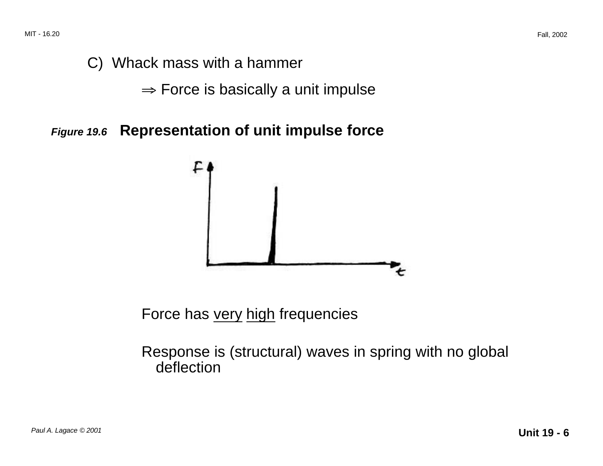MIT - 16.20 Fall, 2002

## C) Whack mass with a hammer

 $\Rightarrow$  Force is basically a unit impulse

**Figure 19.6 Representation of unit impulse force** 



Force has very high frequencies

Response is (structural) waves in spring with no global deflection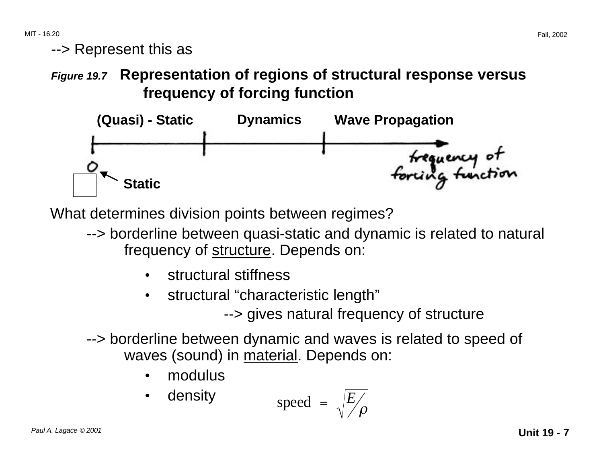MIT - 16.20 Fall, 2002

--> Represent this as

**Figure 19.7 Representation of regions of structural response versus frequency of forcing function** 



What determines division points between regimes?

- --> borderline between quasi-static and dynamic is related to natural frequency of structure. Depends on:
	- structural stiffness
	- structural "characteristic length"

--> gives natural frequency of structure

--> borderline between dynamic and waves is related to speed of waves (sound) in material. Depends on:

• modulus

• density speed = 
$$
\sqrt{\frac{E}{\rho}}
$$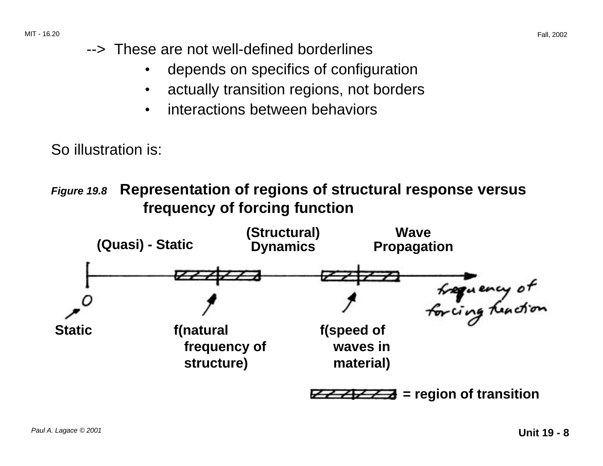- --> These are not well-defined borderlines
	- depends on specifics of configuration
	- actually transition regions, not borders
	- interactions between behaviors

So illustration is:





**= region of transition**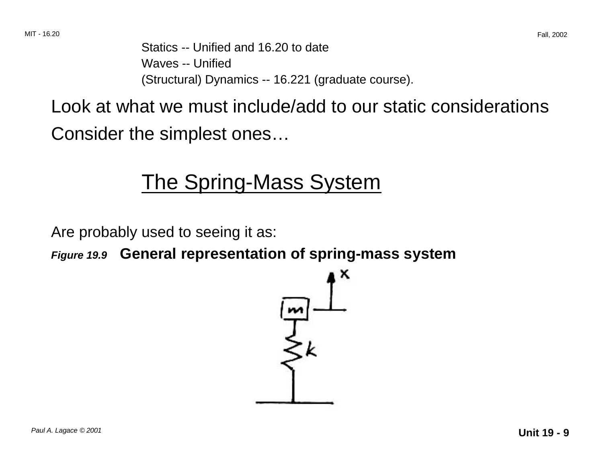Statics -- Unified and 16.20 to date Waves -- Unified (Structural) Dynamics -- 16.221 (graduate course).

Look at what we must include/add to our static considerations Consider the simplest ones…

## The Spring-Mass System

Are probably used to seeing it as:

**Figure 19.9 General representation of spring-mass system**

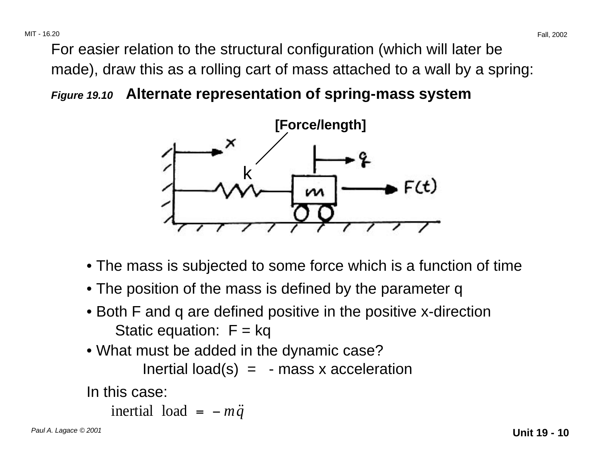MIT - 16.20 Fall, 2002

For easier relation to the structural configuration (which will later be made), draw this as a rolling cart of mass attached to a wall by a spring:

**Figure 19.10 Alternate representation of spring-mass system** 



- The mass is subjected to some force which is a function of time
- The position of the mass is defined by the parameter q
- Both F and q are defined positive in the positive x-direction Static equation:  $F = kq$
- What must be added in the dynamic case?

Inertial load(s)  $=$  - mass x acceleration

In this case:

```
inertial load = -m\ddot{q}
```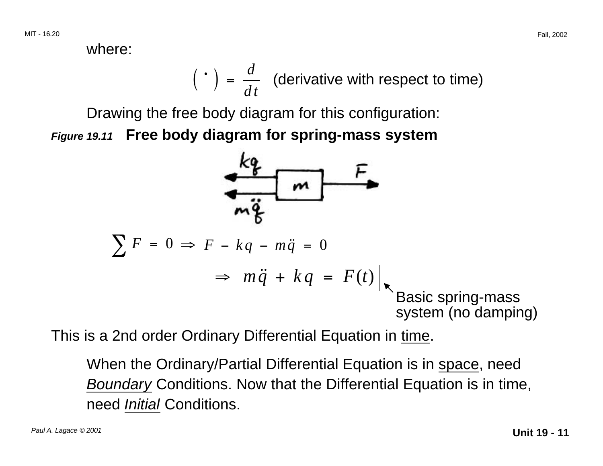where:

$$
(\cdot) = \frac{d}{dt}
$$
 (derivative with respect to time)

Drawing the free body diagram for this configuration: **Figure 19.11 Free body diagram for spring-mass system** 



This is a 2nd order Ordinary Differential Equation in time.

When the Ordinary/Partial Differential Equation is in space, need Boundary Conditions. Now that the Differential Equation is in time, need Initial Conditions.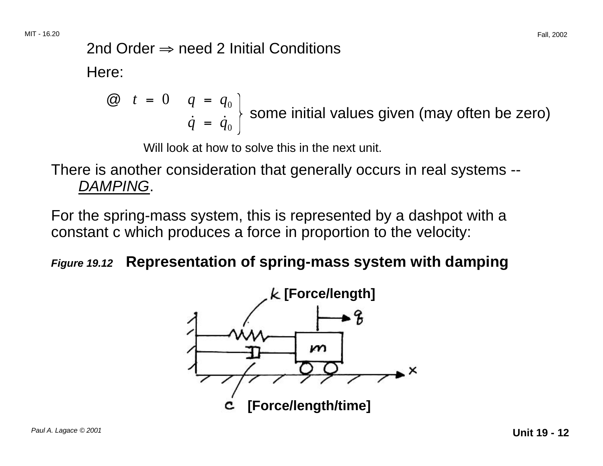## 2nd Order  $\Rightarrow$  need 2 Initial Conditions

Here:

$$
\begin{array}{cc}\n\textcircled{a} & t = 0 & q = q_0 \\
\dot{q} & = \dot{q}_0\n\end{array}
$$
\nsome initial values given (may often be zero)

Will look at how to solve this in the next unit.

There is another consideration that generally occurs in real systems -- DAMPING.

For the spring-mass system, this is represented by a dashpot with a constant c which produces a force in proportion to the velocity:

#### **Figure 19.12 Representation of spring-mass system with damping**

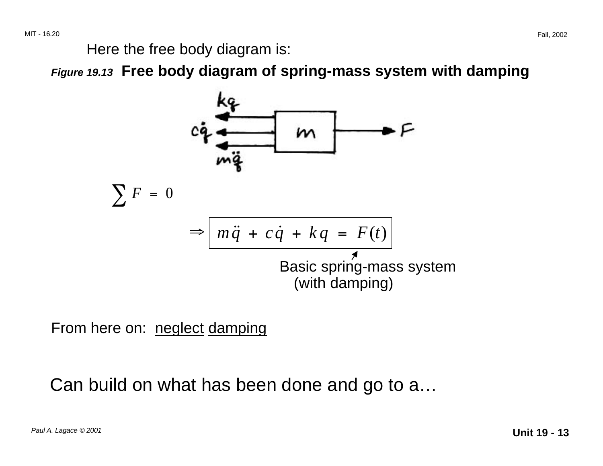Here the free body diagram is:

**Figure 19.13 Free body diagram of spring-mass system with damping** 



From here on: neglect damping

Can build on what has been done and go to a…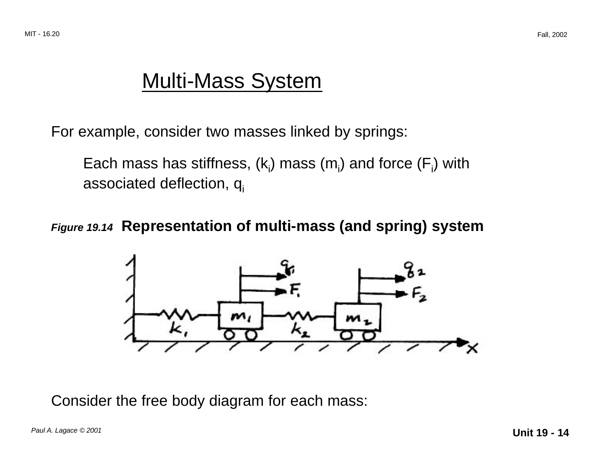## Multi-Mass System

For example, consider two masses linked by springs:

Each mass has stiffness,  $(k_i)$  mass  $(m_i)$  and force  $(F_i)$  with associated deflection,  $q_i$ 

**Figure 19.14 Representation of multi-mass (and spring) system** 



Consider the free body diagram for each mass: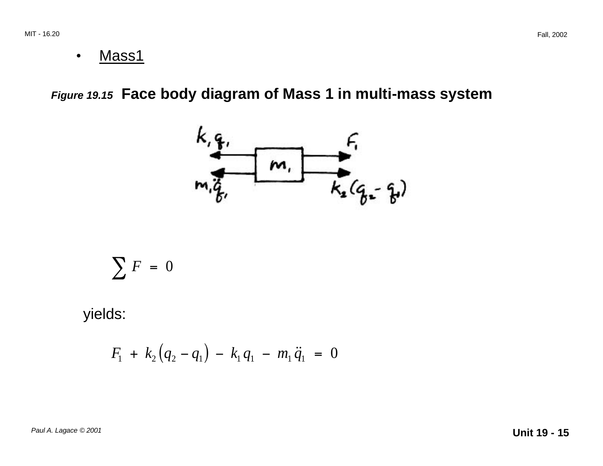• Mass1

**Figure 19.15 Face body diagram of Mass 1 in multi-mass system** 



$$
\sum F = 0
$$

yields:

$$
F_1 + k_2 (q_2 - q_1) - k_1 q_1 - m_1 \ddot{q}_1 = 0
$$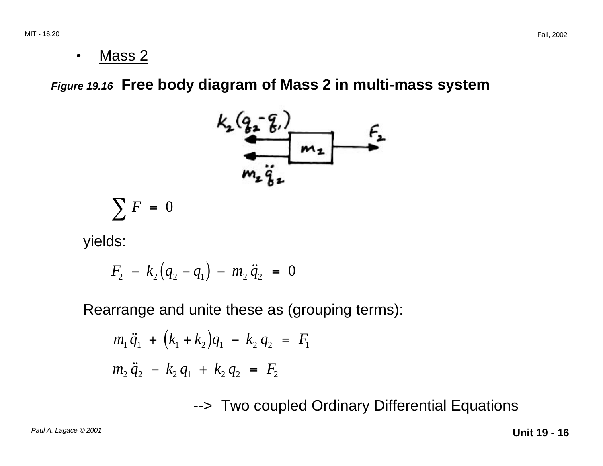• Mass 2

**Figure 19.16 Free body diagram of Mass 2 in multi-mass system** 



$$
\sum_{i=1}^{n} r_i =
$$

yields:

$$
F_2 - k_2 (q_2 - q_1) - m_2 \ddot{q}_2 = 0
$$

Rearrange and unite these as (grouping terms):

$$
m_1 \ddot{q}_1 + (k_1 + k_2)q_1 - k_2 q_2 = F_1
$$
  

$$
m_2 \ddot{q}_2 - k_2 q_1 + k_2 q_2 = F_2
$$

--> Two coupled Ordinary Differential Equations

Paul A. Lagace © 2001 **Unit 19 - 16**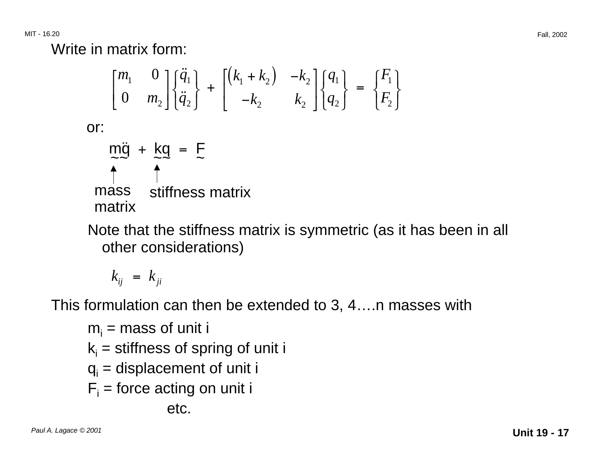Write in matrix form:

$$
\begin{bmatrix} m_1 & 0 \\ 0 & m_2 \end{bmatrix} \begin{bmatrix} \ddot{q}_1 \\ \ddot{q}_2 \end{bmatrix} + \begin{bmatrix} (k_1 + k_2) & -k_2 \\ -k_2 & k_2 \end{bmatrix} \begin{bmatrix} q_1 \\ q_2 \end{bmatrix} = \begin{bmatrix} F_1 \\ F_2 \end{bmatrix}
$$
  
or:  

$$
\begin{aligned} m\ddot{q} + kq &= F \\ \widetilde{q} & \ddot{q} \\ \text{mass} & \text{stiffness matrix} \\ \text{matrix} \end{aligned}
$$

Note that the stiffness matrix is symmetric (as it has been in all other considerations)

$$
k_{ij} = k_{ji}
$$

This formulation can then be extended to 3, 4….n masses with

 $m_i$  = mass of unit i  $k_i$  = stiffness of spring of unit i  $q_i$  = displacement of unit i  $F_i$  = force acting on unit i etc.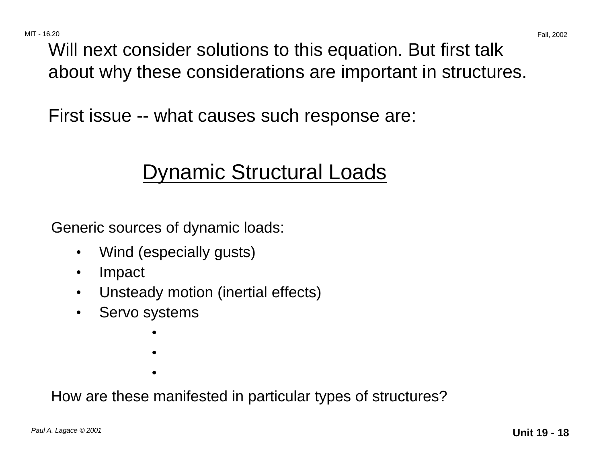MIT - 16.20 Fall, 2002 Will next consider solutions to this equation. But first talk about why these considerations are important in structures.

First issue -- what causes such response are:

## Dynamic Structural Loads

Generic sources of dynamic loads:

- Wind (especially gusts)
- Impact
- Unsteady motion (inertial effects)
- • Servo systems
	- • •

How are these manifested in particular types of structures?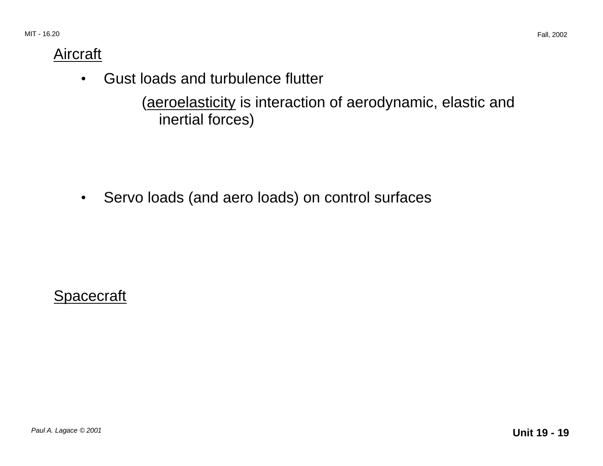### Aircraft

• Gust loads and turbulence flutter

(aeroelasticity is interaction of aerodynamic, elastic and inertial forces)

• Servo loads (and aero loads) on control surfaces

**Spacecraft**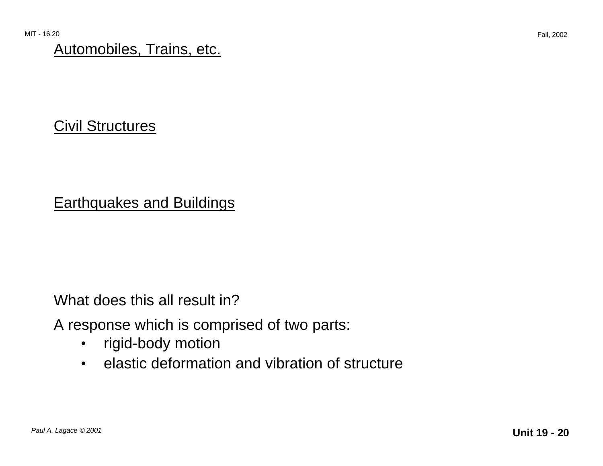### Automobiles, Trains, etc.

## Civil Structures

## Earthquakes and Buildings

What does this all result in?

A response which is comprised of two parts:

- rigid-body motion
- elastic deformation and vibration of structure